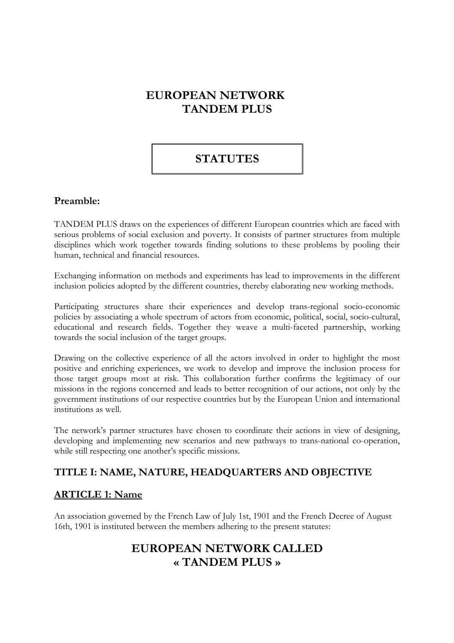# **EUROPEAN NETWORK TANDEM PLUS**

# **STATUTES**

#### **Preamble:**

TANDEM PLUS draws on the experiences of different European countries which are faced with serious problems of social exclusion and poverty. It consists of partner structures from multiple disciplines which work together towards finding solutions to these problems by pooling their human, technical and financial resources.

Exchanging information on methods and experiments has lead to improvements in the different inclusion policies adopted by the different countries, thereby elaborating new working methods.

Participating structures share their experiences and develop trans-regional socio-economic policies by associating a whole spectrum of actors from economic, political, social, socio-cultural, educational and research fields. Together they weave a multi-faceted partnership, working towards the social inclusion of the target groups.

Drawing on the collective experience of all the actors involved in order to highlight the most positive and enriching experiences, we work to develop and improve the inclusion process for those target groups most at risk. This collaboration further confirms the legitimacy of our missions in the regions concerned and leads to better recognition of our actions, not only by the government institutions of our respective countries but by the European Union and international institutions as well.

The network's partner structures have chosen to coordinate their actions in view of designing, developing and implementing new scenarios and new pathways to trans-national co-operation, while still respecting one another's specific missions.

## **TITLE I: NAME, NATURE, HEADQUARTERS AND OBJECTIVE**

#### **ARTICLE 1: Name**

An association governed by the French Law of July 1st, 1901 and the French Decree of August 16th, 1901 is instituted between the members adhering to the present statutes:

## **EUROPEAN NETWORK CALLED « TANDEM PLUS »**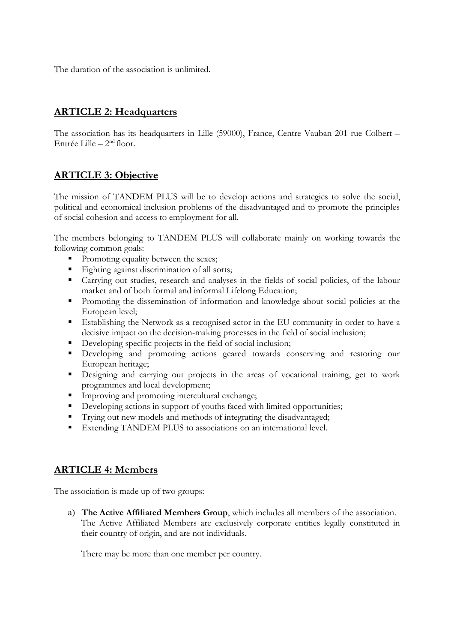The duration of the association is unlimited.

### **ARTICLE 2: Headquarters**

The association has its headquarters in Lille (59000), France, Centre Vauban 201 rue Colbert – Entrée Lille – 2nd floor.

#### **ARTICLE 3: Objective**

The mission of TANDEM PLUS will be to develop actions and strategies to solve the social, political and economical inclusion problems of the disadvantaged and to promote the principles of social cohesion and access to employment for all.

The members belonging to TANDEM PLUS will collaborate mainly on working towards the following common goals:

- Promoting equality between the sexes;
- Fighting against discrimination of all sorts;
- Carrying out studies, research and analyses in the fields of social policies, of the labour market and of both formal and informal Lifelong Education;
- **Promoting the dissemination of information and knowledge about social policies at the** European level;
- Establishing the Network as a recognised actor in the EU community in order to have a decisive impact on the decision-making processes in the field of social inclusion;
- Developing specific projects in the field of social inclusion;
- Developing and promoting actions geared towards conserving and restoring our European heritage;
- Designing and carrying out projects in the areas of vocational training, get to work programmes and local development;
- Improving and promoting intercultural exchange;
- Developing actions in support of youths faced with limited opportunities;
- Trying out new models and methods of integrating the disadvantaged;
- Extending TANDEM PLUS to associations on an international level.

#### **ARTICLE 4: Members**

The association is made up of two groups:

a) **The Active Affiliated Members Group**, which includes all members of the association. The Active Affiliated Members are exclusively corporate entities legally constituted in their country of origin, and are not individuals.

There may be more than one member per country.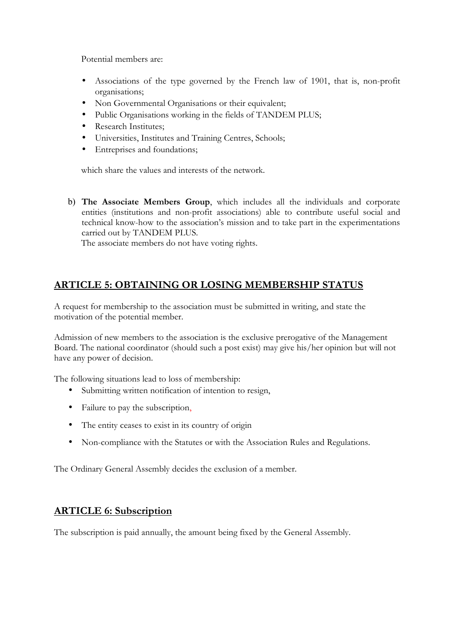Potential members are:

- Associations of the type governed by the French law of 1901, that is, non-profit organisations;
- Non Governmental Organisations or their equivalent;
- Public Organisations working in the fields of TANDEM PLUS;
- Research Institutes;
- Universities, Institutes and Training Centres, Schools;
- Entreprises and foundations;

which share the values and interests of the network.

b) **The Associate Members Group**, which includes all the individuals and corporate entities (institutions and non-profit associations) able to contribute useful social and technical know-how to the association's mission and to take part in the experimentations carried out by TANDEM PLUS.

The associate members do not have voting rights.

## **ARTICLE 5: OBTAINING OR LOSING MEMBERSHIP STATUS**

A request for membership to the association must be submitted in writing, and state the motivation of the potential member.

Admission of new members to the association is the exclusive prerogative of the Management Board. The national coordinator (should such a post exist) may give his/her opinion but will not have any power of decision.

The following situations lead to loss of membership:

- Submitting written notification of intention to resign,
- Failure to pay the subscription,
- The entity ceases to exist in its country of origin
- Non-compliance with the Statutes or with the Association Rules and Regulations.

The Ordinary General Assembly decides the exclusion of a member.

#### **ARTICLE 6: Subscription**

The subscription is paid annually, the amount being fixed by the General Assembly.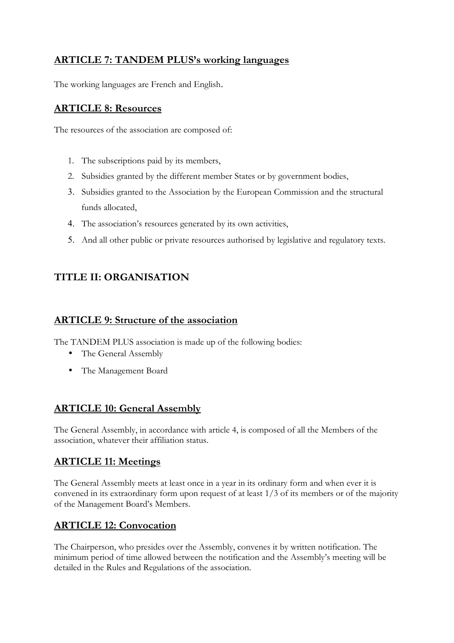## **ARTICLE 7: TANDEM PLUS's working languages**

The working languages are French and English.

#### **ARTICLE 8: Resources**

The resources of the association are composed of:

- 1. The subscriptions paid by its members,
- 2. Subsidies granted by the different member States or by government bodies,
- 3. Subsidies granted to the Association by the European Commission and the structural funds allocated,
- 4. The association's resources generated by its own activities,
- 5. And all other public or private resources authorised by legislative and regulatory texts.

## **TITLE II: ORGANISATION**

### **ARTICLE 9: Structure of the association**

The TANDEM PLUS association is made up of the following bodies:

- The General Assembly
- The Management Board

## **ARTICLE 10: General Assembly**

The General Assembly, in accordance with article 4, is composed of all the Members of the association, whatever their affiliation status.

## **ARTICLE 11: Meetings**

The General Assembly meets at least once in a year in its ordinary form and when ever it is convened in its extraordinary form upon request of at least 1/3 of its members or of the majority of the Management Board's Members.

## **ARTICLE 12: Convocation**

The Chairperson, who presides over the Assembly, convenes it by written notification. The minimum period of time allowed between the notification and the Assembly's meeting will be detailed in the Rules and Regulations of the association.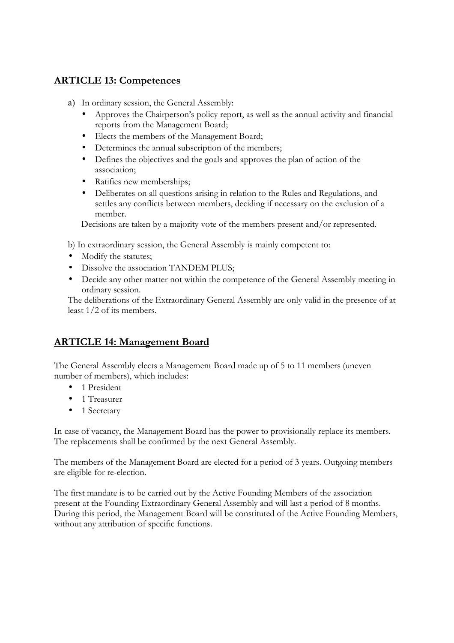### **ARTICLE 13: Competences**

- a) In ordinary session, the General Assembly:
	- Approves the Chairperson's policy report, as well as the annual activity and financial reports from the Management Board;
	- Elects the members of the Management Board;
	- Determines the annual subscription of the members;
	- Defines the objectives and the goals and approves the plan of action of the association;
	- Ratifies new memberships;
	- Deliberates on all questions arising in relation to the Rules and Regulations, and settles any conflicts between members, deciding if necessary on the exclusion of a member.

Decisions are taken by a majority vote of the members present and/or represented.

b) In extraordinary session, the General Assembly is mainly competent to:

- Modify the statutes;
- Dissolve the association TANDEM PLUS;
- Decide any other matter not within the competence of the General Assembly meeting in ordinary session.

The deliberations of the Extraordinary General Assembly are only valid in the presence of at least 1/2 of its members.

#### **ARTICLE 14: Management Board**

The General Assembly elects a Management Board made up of 5 to 11 members (uneven number of members), which includes:

- 1 President
- 1 Treasurer
- 1 Secretary

In case of vacancy, the Management Board has the power to provisionally replace its members. The replacements shall be confirmed by the next General Assembly.

The members of the Management Board are elected for a period of 3 years. Outgoing members are eligible for re-election.

The first mandate is to be carried out by the Active Founding Members of the association present at the Founding Extraordinary General Assembly and will last a period of 8 months. During this period, the Management Board will be constituted of the Active Founding Members, without any attribution of specific functions.